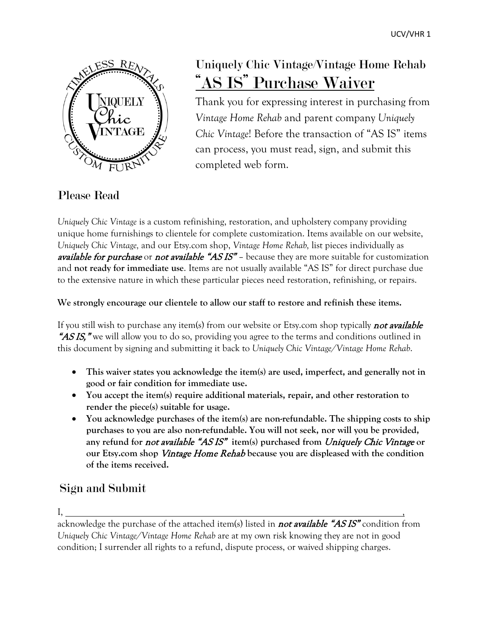

# Uniquely Chic Vintage/Vintage Home Rehab "AS IS" Purchase Waiver

Thank you for expressing interest in purchasing from *Vintage Home Rehab* and parent company *Uniquely Chic Vintage*! Before the transaction of "AS IS" items can process, you must read, sign, and submit this completed web form.

#### Please Read

*Uniquely Chic Vintage* is a custom refinishing, restoration, and upholstery company providing unique home furnishings to clientele for complete customization. Items available on our website, *Uniquely Chic Vintage,* and our Etsy.com shop, *Vintage Home Rehab,* list pieces individually as available for purchase or not available "AS IS" – because they are more suitable for customization and **not ready for immediate use**. Items are not usually available "AS IS" for direct purchase due to the extensive nature in which these particular pieces need restoration, refinishing, or repairs.

**We strongly encourage our clientele to allow our staff to restore and refinish these items.** 

If you still wish to purchase any item(s) from our website or Etsy.com shop typically **not available** "AS IS," we will allow you to do so, providing you agree to the terms and conditions outlined in this document by signing and submitting it back to *Uniquely Chic Vintage/Vintage Home Rehab*.

- **This waiver states you acknowledge the item(s) are used, imperfect, and generally not in good or fair condition for immediate use.**
- **You accept the item(s) require additional materials, repair, and other restoration to render the piece(s) suitable for usage.**
- **You acknowledge purchases of the item(s) are non-refundable. The shipping costs to ship purchases to you are also non-refundable. You will not seek, nor will you be provided, any refund for** not available "AS IS" **item(s) purchased from** Uniquely Chic Vintage **or our Etsy.com shop** Vintage Home Rehab **because you are displeased with the condition of the items received.**

## Sign and Submit

I, , acknowledge the purchase of the attached item(s) listed in **not available "ASIS"** condition from *Uniquely Chic Vintage/Vintage Home Rehab* are at my own risk knowing they are not in good condition; I surrender all rights to a refund, dispute process, or waived shipping charges.